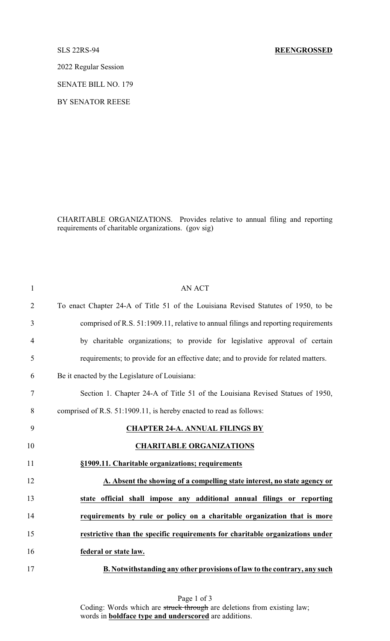2022 Regular Session

SENATE BILL NO. 179

BY SENATOR REESE

CHARITABLE ORGANIZATIONS. Provides relative to annual filing and reporting requirements of charitable organizations. (gov sig)

| 1              | <b>AN ACT</b>                                                                       |
|----------------|-------------------------------------------------------------------------------------|
| $\overline{2}$ | To enact Chapter 24-A of Title 51 of the Louisiana Revised Statutes of 1950, to be  |
| 3              | comprised of R.S. 51:1909.11, relative to annual filings and reporting requirements |
| $\overline{4}$ | by charitable organizations; to provide for legislative approval of certain         |
| 5              | requirements; to provide for an effective date; and to provide for related matters. |
| 6              | Be it enacted by the Legislature of Louisiana:                                      |
| $\tau$         | Section 1. Chapter 24-A of Title 51 of the Louisiana Revised Statues of 1950,       |
| 8              | comprised of R.S. 51:1909.11, is hereby enacted to read as follows:                 |
| 9              | <b>CHAPTER 24-A. ANNUAL FILINGS BY</b>                                              |
| 10             | <b>CHARITABLE ORGANIZATIONS</b>                                                     |
| 11             | §1909.11. Charitable organizations; requirements                                    |
| 12             | A. Absent the showing of a compelling state interest, no state agency or            |
| 13             | state official shall impose any additional annual filings or reporting              |
| 14             | requirements by rule or policy on a charitable organization that is more            |
| 15             | restrictive than the specific requirements for charitable organizations under       |
| 16             | federal or state law.                                                               |
| 17             | B. Notwithstanding any other provisions of law to the contrary, any such            |

Page 1 of 3 Coding: Words which are struck through are deletions from existing law; words in **boldface type and underscored** are additions.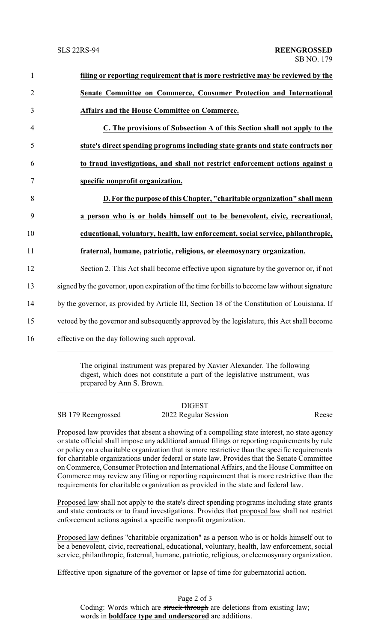| $\mathbf{1}$   | filing or reporting requirement that is more restrictive may be reviewed by the               |
|----------------|-----------------------------------------------------------------------------------------------|
| $\overline{2}$ | Senate Committee on Commerce, Consumer Protection and International                           |
| 3              | <b>Affairs and the House Committee on Commerce.</b>                                           |
| 4              | C. The provisions of Subsection A of this Section shall not apply to the                      |
| 5              | state's direct spending programs including state grants and state contracts nor               |
| 6              | to fraud investigations, and shall not restrict enforcement actions against a                 |
| 7              | specific nonprofit organization.                                                              |
| 8              | D. For the purpose of this Chapter, "charitable organization" shall mean                      |
| 9              | a person who is or holds himself out to be benevolent, civic, recreational,                   |
| 10             | educational, voluntary, health, law enforcement, social service, philanthropic,               |
| 11             | fraternal, humane, patriotic, religious, or eleemosynary organization.                        |
| 12             | Section 2. This Act shall become effective upon signature by the governor or, if not          |
| 13             | signed by the governor, upon expiration of the time for bills to become law without signature |
| 14             | by the governor, as provided by Article III, Section 18 of the Constitution of Louisiana. If  |
| 15             | vetoed by the governor and subsequently approved by the legislature, this Act shall become    |
| 16             | effective on the day following such approval.                                                 |
|                |                                                                                               |

The original instrument was prepared by Xavier Alexander. The following digest, which does not constitute a part of the legislative instrument, was prepared by Ann S. Brown.

### DIGEST SB 179 Reengrossed 2022 Regular Session Reese

Proposed law provides that absent a showing of a compelling state interest, no state agency or state official shall impose any additional annual filings or reporting requirements by rule or policy on a charitable organization that is more restrictive than the specific requirements for charitable organizations under federal or state law. Provides that the Senate Committee on Commerce, Consumer Protection and International Affairs, and the House Committee on Commerce may review any filing or reporting requirement that is more restrictive than the requirements for charitable organization as provided in the state and federal law.

Proposed law shall not apply to the state's direct spending programs including state grants and state contracts or to fraud investigations. Provides that proposed law shall not restrict enforcement actions against a specific nonprofit organization.

Proposed law defines "charitable organization" as a person who is or holds himself out to be a benevolent, civic, recreational, educational, voluntary, health, law enforcement, social service, philanthropic, fraternal, humane, patriotic, religious, or eleemosynary organization.

Effective upon signature of the governor or lapse of time for gubernatorial action.

Page 2 of 3 Coding: Words which are struck through are deletions from existing law; words in **boldface type and underscored** are additions.